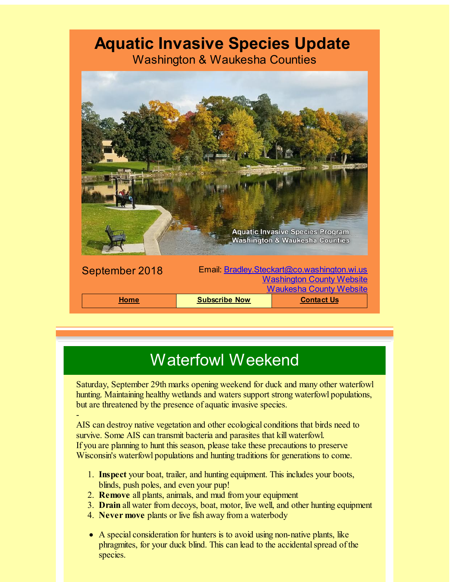## **Aquatic Invasive Species Update**

Washington & Waukesha Counties



# Waterfowl Weekend

Saturday, September 29th marks opening weekend for duck and many other waterfowl hunting. Maintaining healthy wetlands and waters support strong waterfowl populations, but are threatened by the presence of aquatic invasive species.

- AIS can destroy native vegetation and other ecological conditions that birds need to survive. Some AIS can transmit bacteria and parasites that kill waterfowl. If you are planning to hunt this season, please take these precautions to preserve Wisconsin's waterfowl populations and hunting traditions for generations to come.

- 1. **Inspect** your boat, trailer, and hunting equipment. This includes your boots, blinds, push poles, and even your pup!
- 2. **Remove** all plants, animals, and mud from your equipment
- 3. **Drain** all water from decoys, boat, motor, live well, and other hunting equipment
- 4. **Never move** plants or live fish away from a waterbody
- A special consideration for hunters is to avoid using non-native plants, like phragmites, for your duck blind. This can lead to the accidental spread of the species.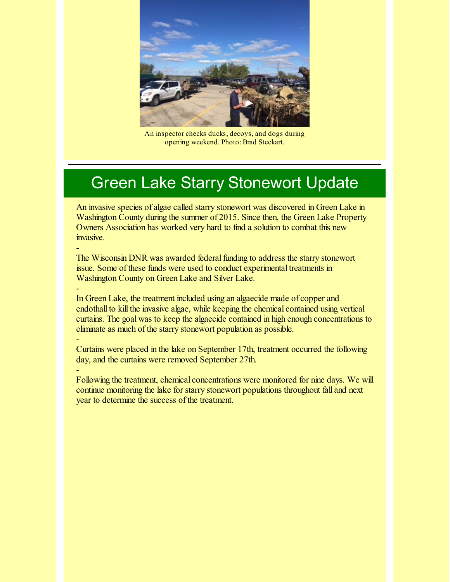

An inspector checks ducks, decoys, and dogs during opening weekend. Photo: Brad Steckart.

### Green Lake Starry Stonewort Update

An invasive species of algae called starry stonewort was discovered in Green Lake in Washington County during the summer of 2015. Since then, the Green Lake Property Owners Association has worked very hard to find a solution to combat this new invasive.

The Wisconsin DNR was awarded federal funding to address the starry stonewort issue. Some of these funds were used to conduct experimental treatments in Washington County on Green Lake and Silver Lake.

-

-

-

-

In Green Lake, the treatment included using an algaecide made of copper and endothall to kill the invasive algae, while keeping the chemical contained using vertical curtains. The goal was to keep the algaecide contained in high enough concentrations to eliminate as much of the starry stonewort population as possible.

Curtains were placed in the lake on September 17th, treatment occurred the following day, and the curtains were removed September 27th.

Following the treatment, chemical concentrations were monitored for nine days. We will continue monitoring the lake for starry stonewort populations throughout fall and next year to determine the success of the treatment.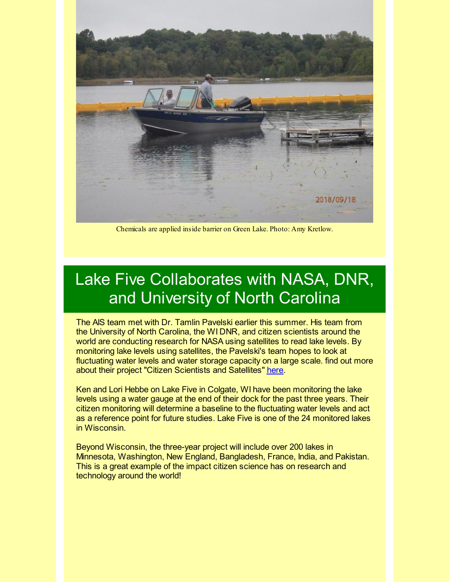

Chemicals are applied inside barrier on Green Lake. Photo: Amy Kretlow.

## Lake Five Collaborates with NASA, DNR, and University of North Carolina

The AIS team met with Dr. Tamlin Pavelski earlier this summer. His team from the University of North Carolina, the WI DNR, and citizen scientists around the world are conducting research for NASA using satellites to read lake levels. By monitoring lake levels using satellites, the Pavelski's team hopes to look at fluctuating water levels and water storage capacity on a large scale. find out more about their project "Citizen Scientists and Satellites" [here](http://www.locss.org/?utm_source=Aquatic+Invasive+Species+Update+SEPTEMBER2018&utm_campaign=AIS+September+2018+Update&utm_medium=email).

Ken and Lori Hebbe on Lake Five in Colgate, WI have been monitoring the lake levels using a water gauge at the end of their dock for the past three years. Their citizen monitoring will determine a baseline to the fluctuating water levels and act as a reference point for future studies. Lake Five is one of the 24 monitored lakes in Wisconsin.

Beyond Wisconsin, the three-year project will include over 200 lakes in Minnesota, Washington, New England, Bangladesh, France, India, and Pakistan. This is a great example of the impact citizen science has on research and technology around the world!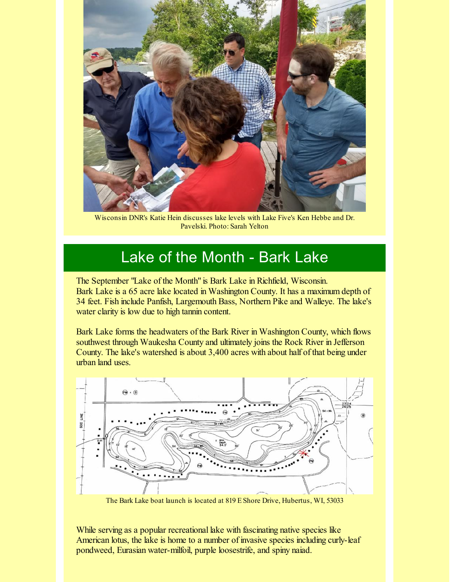

Wisconsin DNR's Katie Hein discusses lake levels with Lake Five's Ken Hebbe and Dr. Pavelski. Photo: Sarah Yelton

#### Lake of the Month - Bark Lake

The September "Lake of the Month" is Bark Lake in Richfield, Wisconsin. Bark Lake is a 65 acre lake located in Washington County. It has a maximum depth of 34 feet. Fish include Panfish, Largemouth Bass, Northern Pike and Walleye. The lake's water clarity is low due to high tannin content.

Bark Lake forms the headwaters of the Bark River in Washington County, which flows southwest through Waukesha County and ultimately joins the Rock River in Jefferson County. The lake's watershed is about 3,400 acres with about half of that being under urban land uses.



The Bark Lake boat launch is located at 819 E Shore Drive, Hubertus, WI, 53033

While serving as a popular recreational lake with fascinating native species like American lotus, the lake is home to a number of invasive species including curly-leaf pondweed, Eurasian water-milfoil, purple loosestrife, and spiny naiad.